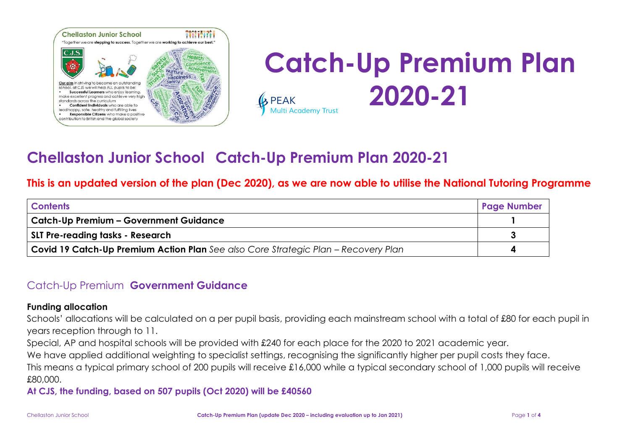

### **Catch-Up Premium Plan 2020-21**  $\mathbf k$  PEAK **Multi Academy Trust**

## **Chellaston Junior School Catch-Up Premium Plan 2020-21**

### **This is an updated version of the plan (Dec 2020), as we are now able to utilise the National Tutoring Programme**

| <b>Contents</b>                                                                           | <b>Page Number</b> |
|-------------------------------------------------------------------------------------------|--------------------|
| <b>Catch-Up Premium – Government Guidance</b>                                             |                    |
| SLT Pre-reading tasks - Research                                                          |                    |
| <b>Covid 19 Catch-Up Premium Action Plan</b> See also Core Strategic Plan – Recovery Plan |                    |

### Catch-Up Premium **Government Guidance**

#### **Funding allocation**

Schools' allocations will be calculated on a per pupil basis, providing each mainstream school with a total of £80 for each pupil in years reception through to 11.

Special, AP and hospital schools will be provided with £240 for each place for the 2020 to 2021 academic year.

We have applied additional weighting to specialist settings, recognising the significantly higher per pupil costs they face.

This means a typical primary school of 200 pupils will receive £16,000 while a typical secondary school of 1,000 pupils will receive £80,000.

**At CJS, the funding, based on 507 pupils (Oct 2020) will be £40560**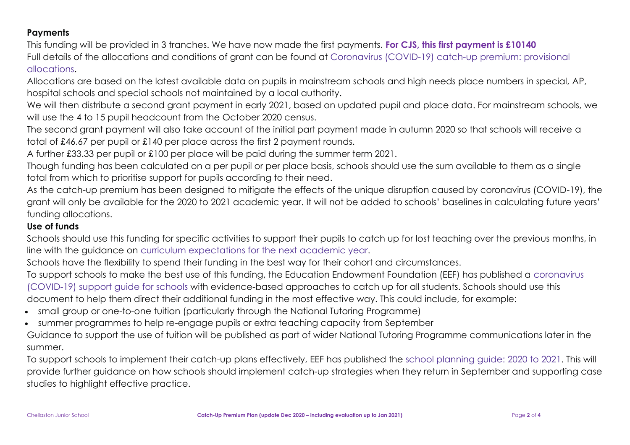#### **Payments**

This funding will be provided in 3 tranches. We have now made the first payments. **For CJS, this first payment is £10140** Full details of the allocations and conditions of grant can be found at [Coronavirus](https://www.gov.uk/government/publications/coronavirus-covid-19-catch-up-premium-provisional-allocations) (COVID-19) catch-up premium: provisional [allocations.](https://www.gov.uk/government/publications/coronavirus-covid-19-catch-up-premium-provisional-allocations)

Allocations are based on the latest available data on pupils in mainstream schools and high needs place numbers in special, AP, hospital schools and special schools not maintained by a local authority.

We will then distribute a second grant payment in early 2021, based on updated pupil and place data. For mainstream schools, we will use the 4 to 15 pupil headcount from the October 2020 census.

The second grant payment will also take account of the initial part payment made in autumn 2020 so that schools will receive a total of £46.67 per pupil or £140 per place across the first 2 payment rounds.

A further £33.33 per pupil or £100 per place will be paid during the summer term 2021.

Though funding has been calculated on a per pupil or per place basis, schools should use the sum available to them as a single total from which to prioritise support for pupils according to their need.

As the catch-up premium has been designed to mitigate the effects of the unique disruption caused by coronavirus (COVID-19), the grant will only be available for the 2020 to 2021 academic year. It will not be added to schools' baselines in calculating future years' funding allocations.

#### **Use of funds**

Schools should use this funding for specific activities to support their pupils to catch up for lost teaching over the previous months, in line with the guidance on curriculum [expectations](https://www.gov.uk/government/publications/actions-for-schools-during-the-coronavirus-outbreak/guidance-for-full-opening-schools#section-3-curriculum-behaviour-and-pastoral-support) for the next academic year.

Schools have the flexibility to spend their funding in the best way for their cohort and circumstances.

To support schools to make the best use of this funding, the Education Endowment Foundation (EEF) has published a [coronavirus](https://educationendowmentfoundation.org.uk/covid-19-resources/covid-19-support-guide-for-schools/#nav-covid-19-support-guide-for-schools1) [\(COVID-19\)](https://educationendowmentfoundation.org.uk/covid-19-resources/covid-19-support-guide-for-schools/#nav-covid-19-support-guide-for-schools1) support guide for schools with evidence-based approaches to catch up for all students. Schools should use this document to help them direct their additional funding in the most effective way. This could include, for example:

- small group or one-to-one tuition (particularly through the National Tutoring Programme)
- summer programmes to help re-engage pupils or extra teaching capacity from September

Guidance to support the use of tuition will be published as part of wider National Tutoring Programme communications later in the summer.

To support schools to implement their catch-up plans effectively, EEF has published the school [planning](https://educationendowmentfoundation.org.uk/covid-19-resources/guide-to-supporting-schools-planning/) guide: 2020 to 2021. This will provide further guidance on how schools should implement catch-up strategies when they return in September and supporting case studies to highlight effective practice.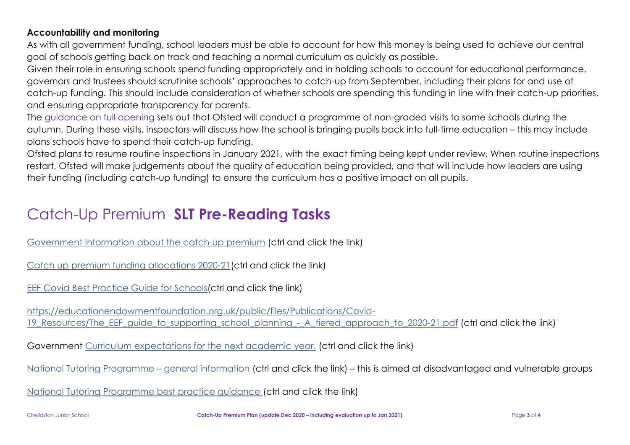#### **Accountability and monitoring**

As with all government funding, school leaders must be able to account for how this money is being used to achieve our central goal of schools getting back on track and teaching a normal curriculum as quickly as possible.

Given their role in ensuring schools spend funding appropriately and in holding schools to account for educational performance, governors and trustees should scrutinise schools' approaches to catch-up from September, including their plans for and use of catch-up funding. This should include consideration of whether schools are spending this funding in line with their catch-up priorities, and ensuring appropriate transparency for parents.

The [guidance](https://www.gov.uk/government/publications/actions-for-schools-during-the-coronavirus-outbreak/guidance-for-full-opening-schools) on full opening sets out that Ofsted will conduct a programme of non-graded visits to some schools during the autumn. During these visits, inspectors will discuss how the school is bringing pupils back into full-time education – this may include plans schools have to spend their catch-up funding.

Ofsted plans to resume routine inspections in January 2021, with the exact timing being kept under review. When routine inspections restart, Ofsted will make judgements about the quality of education being provided, and that will include how leaders are using their funding (including catch-up funding) to ensure the curriculum has a positive impact on all pupils.

## Catch-Up Premium **SLT Pre-Reading Tasks**

[Government](https://www.gov.uk/guidance/coronavirus-covid-19-catch-up-premium) Information about the catch-up premium (ctrl and click the link)

Catch up premium funding [allocations](https://www.gov.uk/government/publications/coronavirus-covid-19-catch-up-premium-provisional-allocations) 2020-21(ctrl and click the link)

EEF Covid Best [Practice](file://///cjs-01/A.Smythe/CJS%20AS%20Documents/CJS%20Curriculum/CJS%20Catch-Up%20Premium/EEF%20Covid-19_support_guide_for_schools.pdf) Guide for Schools(ctrl and click the link)

[https://educationendowmentfoundation.org.uk/public/files/Publications/Covid-](https://educationendowmentfoundation.org.uk/public/files/Publications/Covid-19_Resources/The_EEF_guide_to_supporting_school_planning_-_A_tiered_approach_to_2020-21.pdf)19 Resources/The EEF quide to supporting school planning - A tiered approach to 2020-21.pdf (ctrl and click the link)

Government Curriculum [expectations](https://www.gov.uk/government/publications/actions-for-schools-during-the-coronavirus-outbreak/guidance-for-full-opening-schools#section-3-curriculum-behaviour-and-pastoral-support) for the next academic year. (ctrl and click the link)

[National Tutoring Programme](https://nationaltutoring.org.uk/ntp-tuition-partners/for-schools) – general information (ctrl and click the link) – this is aimed at disadvantaged and vulnerable groups

[National Tutoring Programme best practice guidance](https://nationaltutoring.org.uk/resources/best-tutoring-practice-for-schools) (ctrl and click the link)